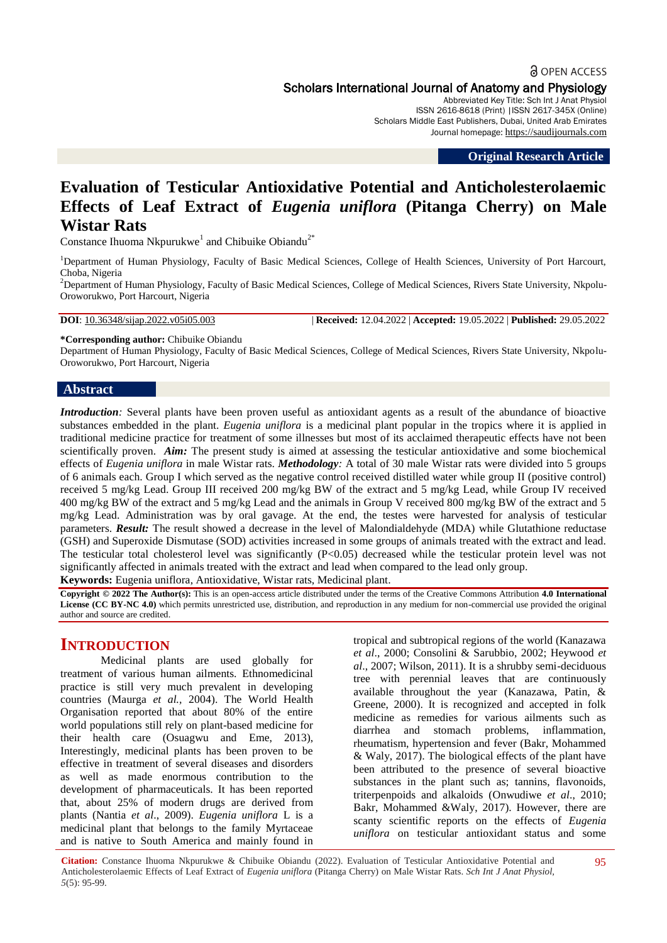# **a** OPEN ACCESS Scholars International Journal of Anatomy and Physiology

Abbreviated Key Title: Sch Int J Anat Physiol ISSN 2616-8618 (Print) |ISSN 2617-345X (Online) Scholars Middle East Publishers, Dubai, United Arab Emirates Journal homepage: [https://saudijournals.com](https://saudijournals.com/sijap)

**Original Research Article**

# **Evaluation of Testicular Antioxidative Potential and Anticholesterolaemic Effects of Leaf Extract of** *Eugenia uniflora* **(Pitanga Cherry) on Male Wistar Rats**

Constance Ihuoma Nkpurukwe<sup>1</sup> and Chibuike Obiandu<sup>2\*</sup>

<sup>1</sup>Department of Human Physiology, Faculty of Basic Medical Sciences, College of Health Sciences, University of Port Harcourt, Choba, Nigeria

<sup>2</sup>Department of Human Physiology, Faculty of Basic Medical Sciences, College of Medical Sciences, Rivers State University, Nkpolu-Oroworukwo, Port Harcourt, Nigeria

**DOI**: 10.36348/sijap.2022.v05i05.003 | **Received:** 12.04.2022 | **Accepted:** 19.05.2022 | **Published:** 29.05.2022

**\*Corresponding author:** Chibuike Obiandu

Department of Human Physiology, Faculty of Basic Medical Sciences, College of Medical Sciences, Rivers State University, Nkpolu-Oroworukwo, Port Harcourt, Nigeria

#### **Abstract**

*Introduction*: Several plants have been proven useful as antioxidant agents as a result of the abundance of bioactive substances embedded in the plant. *Eugenia uniflora* is a medicinal plant popular in the tropics where it is applied in traditional medicine practice for treatment of some illnesses but most of its acclaimed therapeutic effects have not been scientifically proven. *Aim:* The present study is aimed at assessing the testicular antioxidative and some biochemical effects of *Eugenia uniflora* in male Wistar rats. *Methodology:* A total of 30 male Wistar rats were divided into 5 groups of 6 animals each. Group I which served as the negative control received distilled water while group II (positive control) received 5 mg/kg Lead. Group III received 200 mg/kg BW of the extract and 5 mg/kg Lead, while Group IV received 400 mg/kg BW of the extract and 5 mg/kg Lead and the animals in Group V received 800 mg/kg BW of the extract and 5 mg/kg Lead. Administration was by oral gavage. At the end, the testes were harvested for analysis of testicular parameters. *Result:* The result showed a decrease in the level of Malondialdehyde (MDA) while Glutathione reductase (GSH) and Superoxide Dismutase (SOD) activities increased in some groups of animals treated with the extract and lead. The testicular total cholesterol level was significantly (P<0.05) decreased while the testicular protein level was not significantly affected in animals treated with the extract and lead when compared to the lead only group.

**Keywords:** Eugenia uniflora, Antioxidative, Wistar rats, Medicinal plant.

**Copyright © 2022 The Author(s):** This is an open-access article distributed under the terms of the Creative Commons Attribution **4.0 International License (CC BY-NC 4.0)** which permits unrestricted use, distribution, and reproduction in any medium for non-commercial use provided the original author and source are credited.

# **INTRODUCTION**

Medicinal plants are used globally for treatment of various human ailments. Ethnomedicinal practice is still very much prevalent in developing countries (Maurga *et al.,* 2004). The World Health Organisation reported that about 80% of the entire world populations still rely on plant-based medicine for their health care (Osuagwu and Eme, 2013), Interestingly, medicinal plants has been proven to be effective in treatment of several diseases and disorders as well as made enormous contribution to the development of pharmaceuticals. It has been reported that, about 25% of modern drugs are derived from plants (Nantia *et al*., 2009). *Eugenia uniflora* L is a medicinal plant that belongs to the family Myrtaceae and is native to South America and mainly found in

tropical and subtropical regions of the world (Kanazawa *et al*., 2000; Consolini & Sarubbio, 2002; Heywood *et al*., 2007; Wilson, 2011). It is a shrubby semi-deciduous tree with perennial leaves that are continuously available throughout the year (Kanazawa, Patin, & Greene, 2000). It is recognized and accepted in folk medicine as remedies for various ailments such as diarrhea and stomach problems, inflammation, rheumatism, hypertension and fever (Bakr, Mohammed & Waly, 2017). The biological effects of the plant have been attributed to the presence of several bioactive substances in the plant such as; tannins, flavonoids, triterpenpoids and alkaloids (Onwudiwe *et al*., 2010; Bakr, Mohammed &Waly, 2017). However, there are scanty scientific reports on the effects of *Eugenia uniflora* on testicular antioxidant status and some

**Citation:** Constance Ihuoma Nkpurukwe & Chibuike Obiandu (2022). Evaluation of Testicular Antioxidative Potential and Anticholesterolaemic Effects of Leaf Extract of *Eugenia uniflora* (Pitanga Cherry) on Male Wistar Rats. *Sch Int J Anat Physiol, 5*(5): 95-99.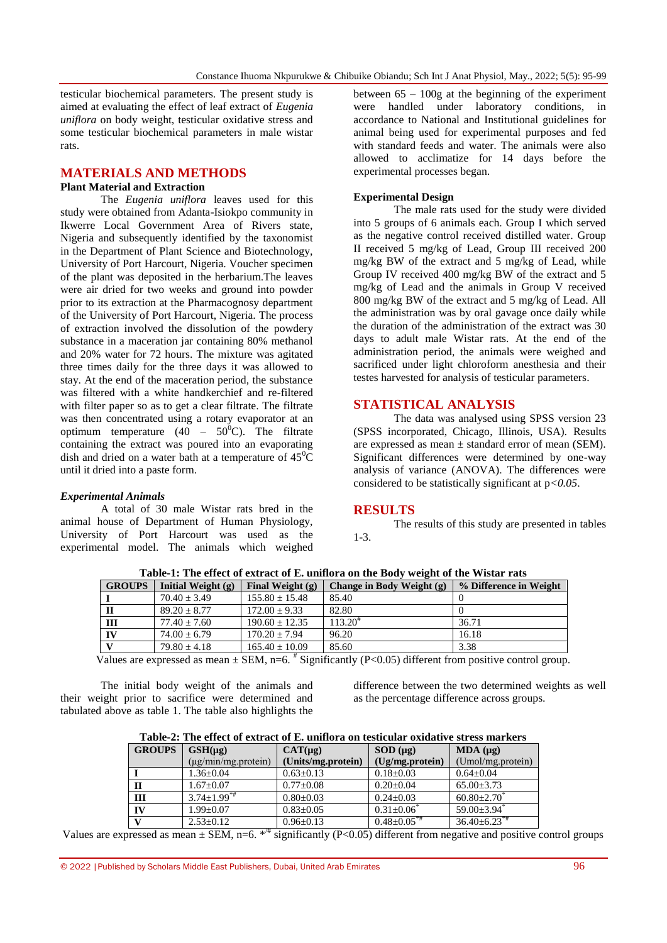testicular biochemical parameters. The present study is aimed at evaluating the effect of leaf extract of *Eugenia uniflora* on body weight, testicular oxidative stress and some testicular biochemical parameters in male wistar rats.

#### **MATERIALS AND METHODS**

#### **Plant Material and Extraction**

The *Eugenia uniflora* leaves used for this study were obtained from Adanta-Isiokpo community in Ikwerre Local Government Area of Rivers state, Nigeria and subsequently identified by the taxonomist in the Department of Plant Science and Biotechnology, University of Port Harcourt, Nigeria. Voucher specimen of the plant was deposited in the herbarium.The leaves were air dried for two weeks and ground into powder prior to its extraction at the Pharmacognosy department of the University of Port Harcourt, Nigeria. The process of extraction involved the dissolution of the powdery substance in a maceration jar containing 80% methanol and 20% water for 72 hours. The mixture was agitated three times daily for the three days it was allowed to stay. At the end of the maceration period, the substance was filtered with a white handkerchief and re-filtered with filter paper so as to get a clear filtrate. The filtrate was then concentrated using a rotary evaporator at an optimum temperature  $(40 - 50^{\circ}\text{C})$ . The filtrate containing the extract was poured into an evaporating dish and dried on a water bath at a temperature of  $45^{\circ}$ C until it dried into a paste form.

#### *Experimental Animals*

A total of 30 male Wistar rats bred in the animal house of Department of Human Physiology, University of Port Harcourt was used as the experimental model. The animals which weighed between  $65 - 100g$  at the beginning of the experiment were handled under laboratory conditions, in accordance to National and Institutional guidelines for animal being used for experimental purposes and fed with standard feeds and water. The animals were also allowed to acclimatize for 14 days before the experimental processes began.

#### **Experimental Design**

The male rats used for the study were divided into 5 groups of 6 animals each. Group I which served as the negative control received distilled water. Group II received 5 mg/kg of Lead, Group III received 200 mg/kg BW of the extract and 5 mg/kg of Lead, while Group IV received 400 mg/kg BW of the extract and 5 mg/kg of Lead and the animals in Group V received 800 mg/kg BW of the extract and 5 mg/kg of Lead. All the administration was by oral gavage once daily while the duration of the administration of the extract was 30 days to adult male Wistar rats. At the end of the administration period, the animals were weighed and sacrificed under light chloroform anesthesia and their testes harvested for analysis of testicular parameters.

#### **STATISTICAL ANALYSIS**

The data was analysed using SPSS version 23 (SPSS incorporated, Chicago, Illinois, USA). Results are expressed as mean  $\pm$  standard error of mean (SEM). Significant differences were determined by one-way analysis of variance (ANOVA). The differences were considered to be statistically significant at p*<0.05*.

### **RESULTS**

The results of this study are presented in tables 1-3.

| <b>GROUPS</b> | Initial Weight $(g)$ | Final Weight $(g)$ | Change in Body Weight (g) | % Difference in Weight |
|---------------|----------------------|--------------------|---------------------------|------------------------|
|               | $70.40 + 3.49$       | $155.80 \pm 15.48$ | 85.40                     |                        |
|               | $89.20 + 8.77$       | $172.00 + 9.33$    | 82.80                     |                        |
| Ш             | $77.40 + 7.60$       | $190.60 \pm 12.35$ | $113.20^{\text{*}}$       | 36.71                  |
| IV            | $74.00 + 6.79$       | $170.20 + 7.94$    | 96.20                     | 16.18                  |
|               | $79.80 + 4.18$       | $165.40 \pm 10.09$ | 85.60                     | 3.38                   |

**Table-1: The effect of extract of E. uniflora on the Body weight of the Wistar rats**

Values are expressed as mean  $\pm$  SEM, n=6.  $\overline{t}$  Significantly (P<0.05) different from positive control group.

The initial body weight of the animals and their weight prior to sacrifice were determined and tabulated above as table 1. The table also highlights the

difference between the two determined weights as well as the percentage difference across groups.

| Table-2: The effect of extract of E. uniflora on testicular oxidative stress markers |  |  |  |  |
|--------------------------------------------------------------------------------------|--|--|--|--|
|                                                                                      |  |  |  |  |

| <b>GROUPS</b> | $GSH(\mu g)$                  | CAT(µg)            | $SOD (\mu g)$                 | MDA (µg)                       |
|---------------|-------------------------------|--------------------|-------------------------------|--------------------------------|
|               | $(\mu$ g/min/mg.protein)      | (Units/mg.protein) | (Ug/mg.protein)               | (Umol/mg.protein)              |
|               | $1.36 \pm 0.04$               | $0.63 \pm 0.13$    | $0.18 \pm 0.03$               | $0.64 \pm 0.04$                |
| п             | $1.67 \pm 0.07$               | $0.77 \pm 0.08$    | $0.20 \pm 0.04$               | $65.00 \pm 3.73$               |
| IΙI           | $3.74 \pm 1.99$ <sup>**</sup> | $0.80 \pm 0.03$    | $0.24 + 0.03$                 | $60.80 \pm 2.70$               |
| IV            | $1.99 \pm 0.07$               | $0.83 \pm 0.05$    | $0.31 \pm 0.06^*$             | $59.00 \pm 3.94$ <sup>*</sup>  |
| $\mathbf{V}$  | $2.53 \pm 0.12$               | $0.96 \pm 0.13$    | $0.48 \pm 0.05$ <sup>**</sup> | $36.40 \pm 6.23$ <sup>*#</sup> |

Values are expressed as mean  $\pm$  SEM, n=6. \*<sup>#</sup> significantly (P<0.05) different from negative and positive control groups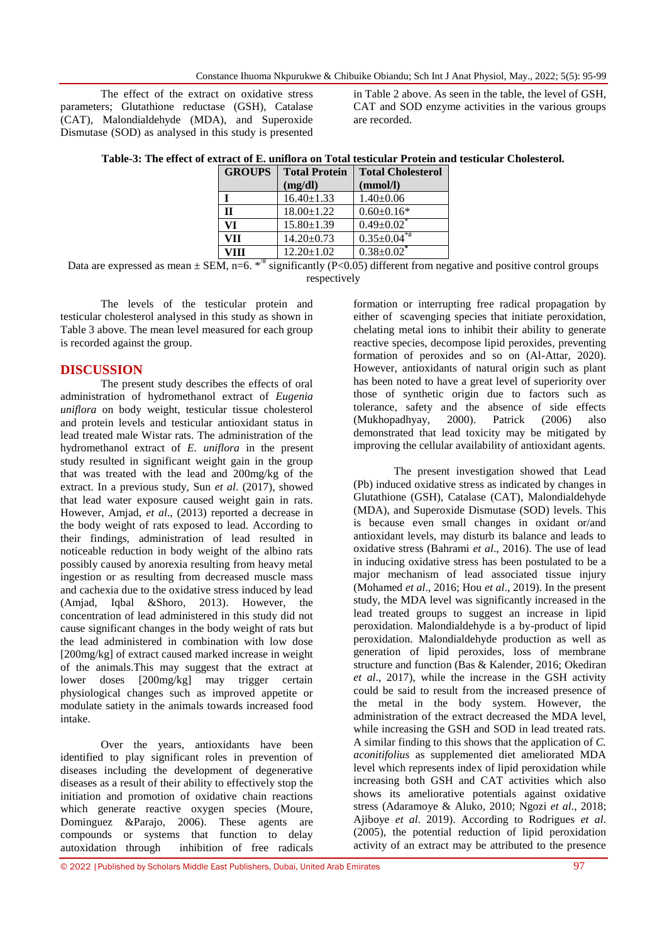The effect of the extract on oxidative stress parameters; Glutathione reductase (GSH), Catalase (CAT), Malondialdehyde (MDA), and Superoxide Dismutase (SOD) as analysed in this study is presented in Table 2 above. As seen in the table, the level of GSH, CAT and SOD enzyme activities in the various groups are recorded.

| <b>GROUPS</b> | <b>Total Protein</b> | <b>Total Cholesterol</b> |  |  |
|---------------|----------------------|--------------------------|--|--|
|               | (mg/dl)              | (mmol/l)                 |  |  |
|               | $16.40 \pm 1.33$     | $1.40 \pm 0.06$          |  |  |
| п             | $18.00 \pm 1.22$     | $0.60 \pm 0.16*$         |  |  |
| VI            | $15.80 \pm 1.39$     | $0.49 \pm 0.02$          |  |  |
| VII           | $14.20 \pm 0.73$     | $0.35 \pm 0.04$ **       |  |  |
| VIII          | $12.20 \pm 1.02$     | $0.38 \pm 0.02$ *        |  |  |

**Table-3: The effect of extract of E. uniflora on Total testicular Protein and testicular Cholesterol.**

Data are expressed as mean  $\pm$  SEM, n=6. \*<sup>#</sup> significantly (P<0.05) different from negative and positive control groups respectively

The levels of the testicular protein and testicular cholesterol analysed in this study as shown in Table 3 above. The mean level measured for each group is recorded against the group.

#### **DISCUSSION**

The present study describes the effects of oral administration of hydromethanol extract of *Eugenia uniflora* on body weight, testicular tissue cholesterol and protein levels and testicular antioxidant status in lead treated male Wistar rats. The administration of the hydromethanol extract of *E. uniflora* in the present study resulted in significant weight gain in the group that was treated with the lead and 200mg/kg of the extract. In a previous study, Sun *et al*. (2017), showed that lead water exposure caused weight gain in rats. However, Amjad, *et al*., (2013) reported a decrease in the body weight of rats exposed to lead. According to their findings, administration of lead resulted in noticeable reduction in body weight of the albino rats possibly caused by anorexia resulting from heavy metal ingestion or as resulting from decreased muscle mass and cachexia due to the oxidative stress induced by lead (Amjad, Iqbal &Shoro, 2013). However, the concentration of lead administered in this study did not cause significant changes in the body weight of rats but the lead administered in combination with low dose [200mg/kg] of extract caused marked increase in weight of the animals.This may suggest that the extract at lower doses [200mg/kg] may trigger certain physiological changes such as improved appetite or modulate satiety in the animals towards increased food intake.

Over the years, antioxidants have been identified to play significant roles in prevention of diseases including the development of degenerative diseases as a result of their ability to effectively stop the initiation and promotion of oxidative chain reactions which generate reactive oxygen species (Moure, Dominguez &Parajo, 2006). These agents are compounds or systems that function to delay autoxidation through inhibition of free radicals

formation or interrupting free radical propagation by either of scavenging species that initiate peroxidation, chelating metal ions to inhibit their ability to generate reactive species, decompose lipid peroxides, preventing formation of peroxides and so on (Al-Attar, 2020). However, antioxidants of natural origin such as plant has been noted to have a great level of superiority over those of synthetic origin due to factors such as tolerance, safety and the absence of side effects (Mukhopadhyay, 2000). Patrick (2006) also demonstrated that lead toxicity may be mitigated by improving the cellular availability of antioxidant agents.

The present investigation showed that Lead (Pb) induced oxidative stress as indicated by changes in Glutathione (GSH), Catalase (CAT), Malondialdehyde (MDA), and Superoxide Dismutase (SOD) levels. This is because even small changes in oxidant or/and antioxidant levels, may disturb its balance and leads to oxidative stress (Bahrami *et al*., 2016). The use of lead in inducing oxidative stress has been postulated to be a major mechanism of lead associated tissue injury (Mohamed *et al*., 2016; Hou *et al*., 2019). In the present study, the MDA level was significantly increased in the lead treated groups to suggest an increase in lipid peroxidation. Malondialdehyde is a by-product of lipid peroxidation. Malondialdehyde production as well as generation of lipid peroxides, loss of membrane structure and function (Bas & Kalender, 2016; Okediran *et al*., 2017), while the increase in the GSH activity could be said to result from the increased presence of the metal in the body system. However, the administration of the extract decreased the MDA level, while increasing the GSH and SOD in lead treated rats. A similar finding to this shows that the application of *C. aconitifolius* as supplemented diet ameliorated MDA level which represents index of lipid peroxidation while increasing both GSH and CAT activities which also shows its ameliorative potentials against oxidative stress (Adaramoye & Aluko, 2010; Ngozi *et al*., 2018; Ajiboye *et al*. 2019). According to Rodrigues *et al*. (2005), the potential reduction of lipid peroxidation activity of an extract may be attributed to the presence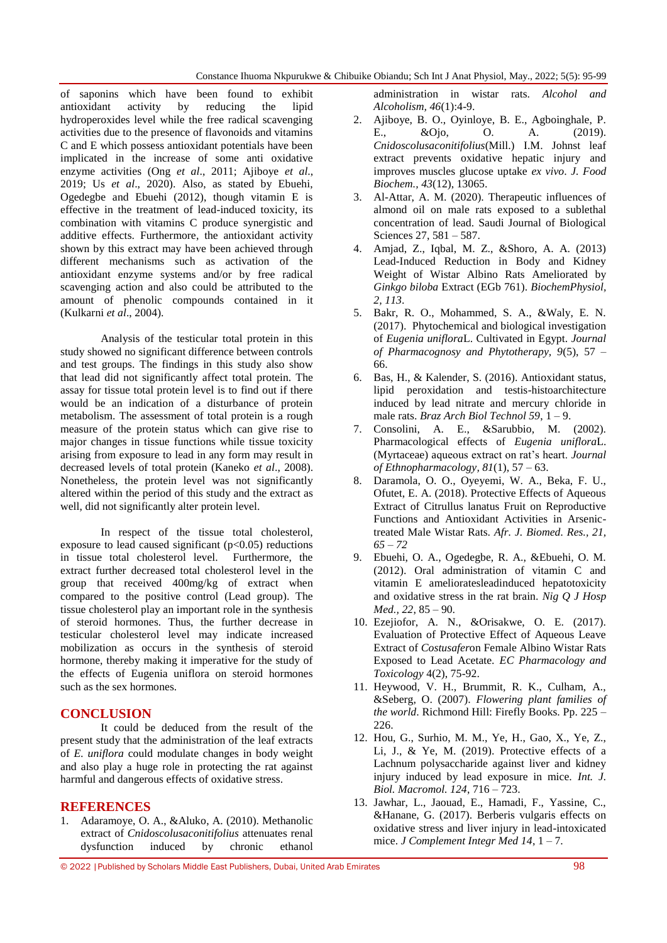of saponins which have been found to exhibit antioxidant activity by reducing the lipid hydroperoxides level while the free radical scavenging activities due to the presence of flavonoids and vitamins C and E which possess antioxidant potentials have been implicated in the increase of some anti oxidative enzyme activities (Ong *et al*., 2011; Ajiboye *et al*., 2019; Us *et al*., 2020). Also, as stated by Ebuehi, Ogedegbe and Ebuehi (2012), though vitamin E is effective in the treatment of lead-induced toxicity, its combination with vitamins C produce synergistic and additive effects. Furthermore, the antioxidant activity shown by this extract may have been achieved through different mechanisms such as activation of the antioxidant enzyme systems and/or by free radical scavenging action and also could be attributed to the amount of phenolic compounds contained in it (Kulkarni *et al*., 2004).

Analysis of the testicular total protein in this study showed no significant difference between controls and test groups. The findings in this study also show that lead did not significantly affect total protein. The assay for tissue total protein level is to find out if there would be an indication of a disturbance of protein metabolism. The assessment of total protein is a rough measure of the protein status which can give rise to major changes in tissue functions while tissue toxicity arising from exposure to lead in any form may result in decreased levels of total protein (Kaneko *et al*., 2008). Nonetheless, the protein level was not significantly altered within the period of this study and the extract as well, did not significantly alter protein level.

In respect of the tissue total cholesterol, exposure to lead caused significant ( $p<0.05$ ) reductions in tissue total cholesterol level. Furthermore, the extract further decreased total cholesterol level in the group that received 400mg/kg of extract when compared to the positive control (Lead group). The tissue cholesterol play an important role in the synthesis of steroid hormones. Thus, the further decrease in testicular cholesterol level may indicate increased mobilization as occurs in the synthesis of steroid hormone, thereby making it imperative for the study of the effects of Eugenia uniflora on steroid hormones such as the sex hormones.

## **CONCLUSION**

It could be deduced from the result of the present study that the administration of the leaf extracts of *E. uniflora* could modulate changes in body weight and also play a huge role in protecting the rat against harmful and dangerous effects of oxidative stress.

#### **REFERENCES**

1. Adaramoye, O. A., &Aluko, A. (2010). Methanolic extract of *Cnidoscolusaconitifolius* attenuates renal dysfunction induced by chronic ethanol

administration in wistar rats. *Alcohol and Alcoholism, 46*(1):4-9.

- 2. Ajiboye, B. O., Oyinloye, B. E., Agboinghale, P. E., &Ojo, O. A. (2019). *Cnidoscolusaconitifolius*(Mill.) I.M. Johnst leaf extract prevents oxidative hepatic injury and improves muscles glucose uptake *ex vivo*. *J. Food Biochem., 43*(12), 13065.
- 3. Al-Attar, A. M. (2020). Therapeutic influences of almond oil on male rats exposed to a sublethal concentration of lead. Saudi Journal of Biological Sciences 27, 581 – 587.
- 4. Amjad, Z., Iqbal, M. Z., &Shoro, A. A. (2013) Lead-Induced Reduction in Body and Kidney Weight of Wistar Albino Rats Ameliorated by *Ginkgo biloba* Extract (EGb 761). *BiochemPhysiol, 2, 113*.
- 5. Bakr, R. O., Mohammed, S. A., &Waly, E. N. (2017). Phytochemical and biological investigation of *Eugenia uniflora*L. Cultivated in Egypt. *Journal of Pharmacognosy and Phytotherapy, 9*(5), 57 – 66.
- 6. Bas, H., & Kalender, S. (2016). Antioxidant status, lipid peroxidation and testis-histoarchitecture induced by lead nitrate and mercury chloride in male rats. *Braz Arch Biol Technol 59*, 1 – 9.
- 7. Consolini, A. E., &Sarubbio, M. (2002). Pharmacological effects of *Eugenia uniflora*L. (Myrtaceae) aqueous extract on rat's heart. *Journal of Ethnopharmacology, 81*(1), 57 – 63.
- 8. Daramola, O. O., Oyeyemi, W. A., Beka, F. U., Ofutet, E. A. (2018). Protective Effects of Aqueous Extract of Citrullus lanatus Fruit on Reproductive Functions and Antioxidant Activities in Arsenictreated Male Wistar Rats. *Afr. J. Biomed. Res., 21, 65 – 72*
- 9. Ebuehi, O. A., Ogedegbe, R. A., &Ebuehi, O. M. (2012). Oral administration of vitamin C and vitamin E amelioratesleadinduced hepatotoxicity and oxidative stress in the rat brain. *Nig Q J Hosp Med., 22*, 85 – 90.
- 10. Ezejiofor, A. N., &Orisakwe, O. E. (2017). Evaluation of Protective Effect of Aqueous Leave Extract of *Costusafer*on Female Albino Wistar Rats Exposed to Lead Acetate. *EC Pharmacology and Toxicology* 4(2), 75-92.
- 11. Heywood, V. H., Brummit, R. K., Culham, A., &Seberg, O. (2007). *Flowering plant families of the world*. Richmond Hill: Firefly Books. Pp. 225 – 226.
- 12. Hou, G., Surhio, M. M., Ye, H., Gao, X., Ye, Z., Li, J., & Ye, M. (2019). Protective effects of a Lachnum polysaccharide against liver and kidney injury induced by lead exposure in mice. *Int. J. Biol. Macromol. 124*, 716 – 723.
- 13. Jawhar, L., Jaouad, E., Hamadi, F., Yassine, C., &Hanane, G. (2017). Berberis vulgaris effects on oxidative stress and liver injury in lead-intoxicated mice. *J Complement Integr Med 14*, 1 – 7.